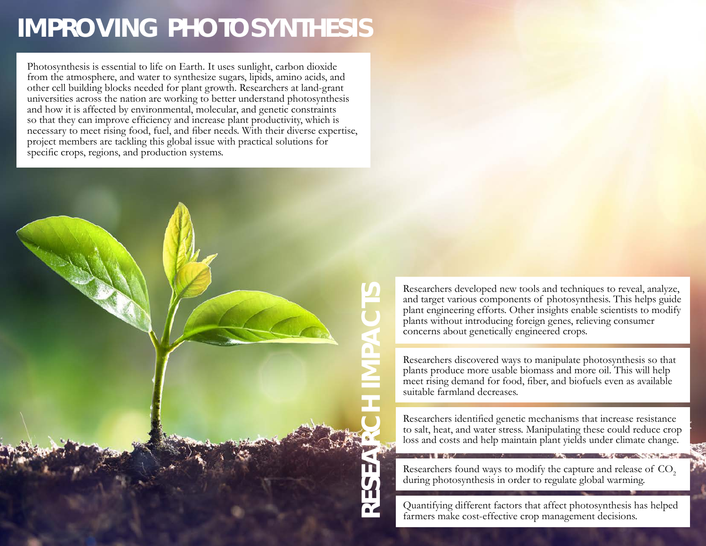## **IMPROVING PHOTOSYNTHESIS**

Photosynthesis is essential to life on Earth. It uses sunlight, carbon dioxide from the atmosphere, and water to synthesize sugars, lipids, amino acids, and other cell building blocks needed for plant growth. Researchers at land-grant universities across the nation are working to better understand photosynthesis and how it is affected by environmental, molecular, and genetic constraints so that they can improve efficiency and increase plant productivity, which is necessary to meet rising food, fuel, and fiber needs. With their diverse expertise, project members are tackling this global issue with practical solutions for specific crops, regions, and production systems.



Researchers developed new tools and techniques to reveal, analyze,<br>
plant engineering efforts. Other insights enable scientists to modify<br>
plants without introducing foreign genes, relieving consumer<br>
concerns about geneti and target various components of photosynthesis. This helps guide plant engineering efforts. Other insights enable scientists to modify plants without introducing foreign genes, relieving consumer concerns about genetically engineered crops.

Researchers discovered ways to manipulate photosynthesis so that plants produce more usable biomass and more oil. This will help meet rising demand for food, fiber, and biofuels even as available suitable farmland decreases.

Researchers identified genetic mechanisms that increase resistance to salt, heat, and water stress. Manipulating these could reduce crop loss and costs and help maintain plant yields under climate change.

Researchers found ways to modify the capture and release of CO<sub>2</sub> during photosynthesis in order to regulate global warming.

Quantifying different factors that affect photosynthesis has helped farmers make cost-effective crop management decisions.